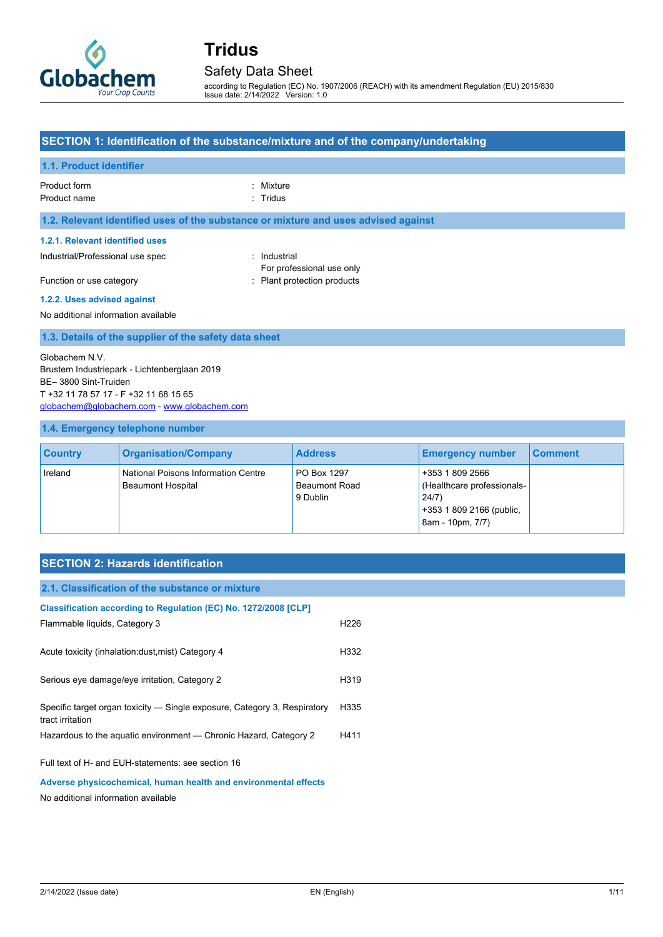

### Safety Data Sheet

according to Regulation (EC) No. 1907/2006 (REACH) with its amendment Regulation (EU) 2015/830 Issue date: 2/14/2022 Version: 1.0

#### **SECTION 1: Identification of the substance/mixture and of the company/undertaking**

#### **1.1. Product identifier**

Product form : Nixture : Mixture

Product name : Tridus

#### **1.2. Relevant identified uses of the substance or mixture and uses advised against**

#### **1.2.1. Relevant identified uses**

Industrial/Professional use spec : Industrial

For professional use only Function or use category **Example 20** Flant protection products

**1.2.2. Uses advised against**

#### No additional information available

#### **1.3. Details of the supplier of the safety data sheet**

Globachem N.V. Brustem Industriepark - Lichtenberglaan 2019 BE– 3800 Sint-Truiden T +32 11 78 57 17 - F +32 11 68 15 65 [globachem@globachem.com](mailto:globachem@globachem.com) - [www.globachem.com](http://www.globachem.com/)

#### **1.4. Emergency telephone number**

| <b>Country</b> | <b>Organisation/Company</b>                                     | <b>Address</b>                                  | <b>Emergency number</b>                                                                               | <b>Comment</b> |
|----------------|-----------------------------------------------------------------|-------------------------------------------------|-------------------------------------------------------------------------------------------------------|----------------|
| Ireland        | National Poisons Information Centre<br><b>Beaumont Hospital</b> | PO Box 1297<br><b>Beaumont Road</b><br>9 Dublin | +353 1 809 2566<br>(Healthcare professionals-<br>24/7<br>+353 1 809 2166 (public,<br>8am - 10pm, 7/7) |                |

#### **SECTION 2: Hazards identification**

| 2.1. Classification of the substance or mixture                           |      |  |
|---------------------------------------------------------------------------|------|--|
|                                                                           |      |  |
| Classification according to Regulation (EC) No. 1272/2008 [CLP]           |      |  |
| Flammable liquids, Category 3                                             | H226 |  |
|                                                                           |      |  |
| Acute toxicity (inhalation: dust, mist) Category 4                        | H332 |  |
|                                                                           |      |  |
| Serious eye damage/eye irritation, Category 2                             | H319 |  |
| Specific target organ toxicity — Single exposure, Category 3, Respiratory | H335 |  |
| tract irritation                                                          |      |  |
| Hazardous to the aquatic environment — Chronic Hazard, Category 2         | H411 |  |
|                                                                           |      |  |
| Full text of H- and EUH-statements: see section 16                        |      |  |
| Adverse physicochemical, human health and environmental effects           |      |  |

No additional information available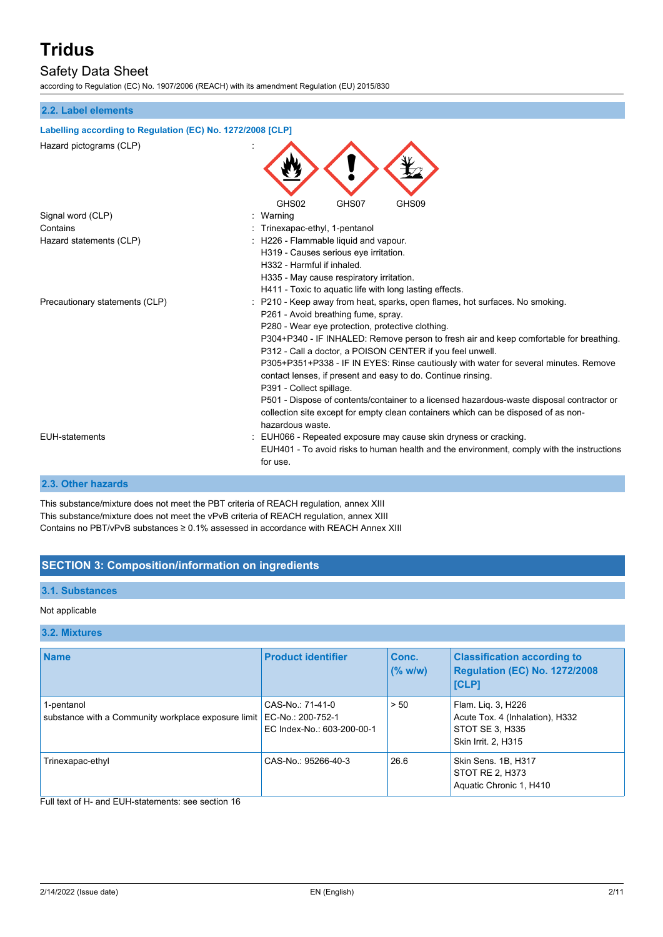## Safety Data Sheet

according to Regulation (EC) No. 1907/2006 (REACH) with its amendment Regulation (EU) 2015/830

#### **2.2. Label elements**

#### **Labelling according to Regulation (EC) No. 1272/2008 [CLP]**

| Hazard pictograms (CLP)        |                                                                                                                                                      |
|--------------------------------|------------------------------------------------------------------------------------------------------------------------------------------------------|
|                                | GHS02<br>GHS07<br>GHS09                                                                                                                              |
| Signal word (CLP)              | : Warning                                                                                                                                            |
| Contains                       | : Trinexapac-ethyl, 1-pentanol                                                                                                                       |
| Hazard statements (CLP)        | : H226 - Flammable liquid and vapour.                                                                                                                |
|                                | H319 - Causes serious eye irritation.                                                                                                                |
|                                | H332 - Harmful if inhaled.                                                                                                                           |
|                                | H335 - May cause respiratory irritation.                                                                                                             |
|                                | H411 - Toxic to aquatic life with long lasting effects.                                                                                              |
| Precautionary statements (CLP) | : P210 - Keep away from heat, sparks, open flames, hot surfaces. No smoking.                                                                         |
|                                | P261 - Avoid breathing fume, spray.                                                                                                                  |
|                                | P280 - Wear eye protection, protective clothing.                                                                                                     |
|                                | P304+P340 - IF INHALED: Remove person to fresh air and keep comfortable for breathing.<br>P312 - Call a doctor, a POISON CENTER if you feel unwell.  |
|                                | P305+P351+P338 - IF IN EYES: Rinse cautiously with water for several minutes. Remove<br>contact lenses, if present and easy to do. Continue rinsing. |
|                                | P391 - Collect spillage.                                                                                                                             |
|                                | P501 - Dispose of contents/container to a licensed hazardous-waste disposal contractor or                                                            |
|                                | collection site except for empty clean containers which can be disposed of as non-                                                                   |
|                                | hazardous waste.                                                                                                                                     |
| <b>EUH-statements</b>          | : EUH066 - Repeated exposure may cause skin dryness or cracking.                                                                                     |
|                                | EUH401 - To avoid risks to human health and the environment, comply with the instructions                                                            |
|                                | for use.                                                                                                                                             |
|                                |                                                                                                                                                      |

#### **2.3. Other hazards**

This substance/mixture does not meet the PBT criteria of REACH regulation, annex XIII This substance/mixture does not meet the vPvB criteria of REACH regulation, annex XIII Contains no PBT/vPvB substances ≥ 0.1% assessed in accordance with REACH Annex XIII

### **SECTION 3: Composition/information on ingredients**

#### **3.1. Substances**

#### Not applicable

#### **3.2. Mixtures**

| <b>Name</b>                                                       | <b>Product identifier</b>                                           | Conc.<br>(% w/w) | <b>Classification according to</b><br>Regulation (EC) No. 1272/2008<br><b>[CLP]</b>             |
|-------------------------------------------------------------------|---------------------------------------------------------------------|------------------|-------------------------------------------------------------------------------------------------|
| 1-pentanol<br>substance with a Community workplace exposure limit | CAS-No.: 71-41-0<br>EC-No.: 200-752-1<br>EC Index-No.: 603-200-00-1 | > 50             | Flam. Lig. 3, H226<br>Acute Tox. 4 (Inhalation), H332<br>STOT SE 3, H335<br>Skin Irrit. 2, H315 |
| Trinexapac-ethyl                                                  | CAS-No.: 95266-40-3                                                 | 26.6             | Skin Sens. 1B, H317<br>STOT RE 2, H373<br>Aquatic Chronic 1, H410                               |

### Full text of H- and EUH-statements: see section 16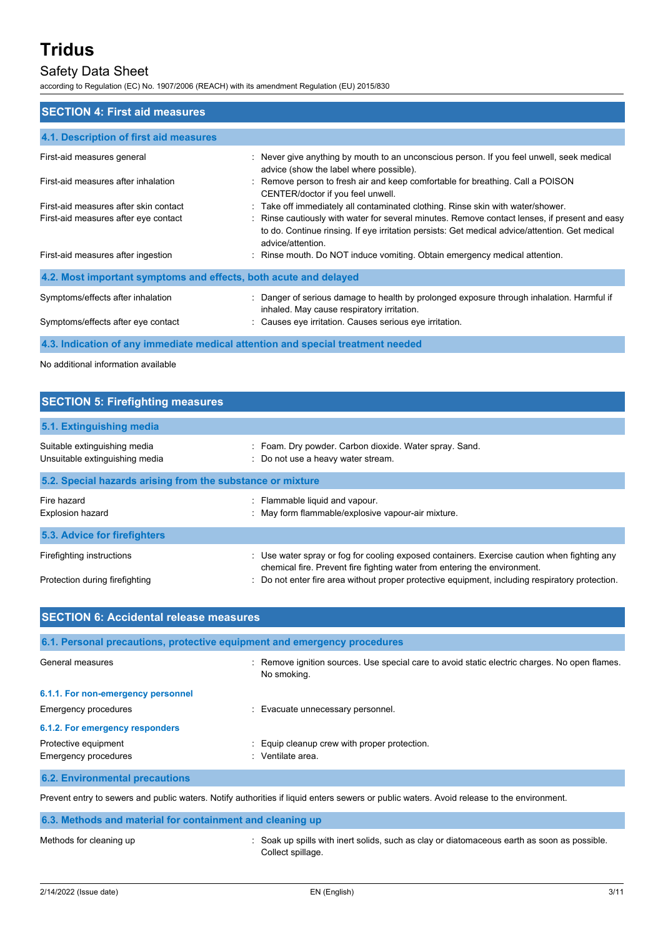## Safety Data Sheet

according to Regulation (EC) No. 1907/2006 (REACH) with its amendment Regulation (EU) 2015/830

| <b>SECTION 4: First aid measures</b>                                            |                                                                                                                                                                                                                      |  |  |
|---------------------------------------------------------------------------------|----------------------------------------------------------------------------------------------------------------------------------------------------------------------------------------------------------------------|--|--|
| 4.1. Description of first aid measures                                          |                                                                                                                                                                                                                      |  |  |
| First-aid measures general                                                      | : Never give anything by mouth to an unconscious person. If you feel unwell, seek medical<br>advice (show the label where possible).                                                                                 |  |  |
| First-aid measures after inhalation                                             | : Remove person to fresh air and keep comfortable for breathing. Call a POISON<br>CENTER/doctor if you feel unwell.                                                                                                  |  |  |
| First-aid measures after skin contact                                           | : Take off immediately all contaminated clothing. Rinse skin with water/shower.                                                                                                                                      |  |  |
| First-aid measures after eye contact                                            | : Rinse cautiously with water for several minutes. Remove contact lenses, if present and easy<br>to do. Continue rinsing. If eye irritation persists: Get medical advice/attention. Get medical<br>advice/attention. |  |  |
| First-aid measures after ingestion                                              | : Rinse mouth. Do NOT induce vomiting. Obtain emergency medical attention.                                                                                                                                           |  |  |
| 4.2. Most important symptoms and effects, both acute and delayed                |                                                                                                                                                                                                                      |  |  |
| Symptoms/effects after inhalation                                               | : Danger of serious damage to health by prolonged exposure through inhalation. Harmful if<br>inhaled. May cause respiratory irritation.                                                                              |  |  |
| Symptoms/effects after eye contact                                              | : Causes eye irritation. Causes serious eye irritation.                                                                                                                                                              |  |  |
| 4.3. Indication of any immediate medical attention and special treatment needed |                                                                                                                                                                                                                      |  |  |

No additional information available

| <b>SECTION 5: Firefighting measures</b>                        |                                                                                                                                                                          |  |  |
|----------------------------------------------------------------|--------------------------------------------------------------------------------------------------------------------------------------------------------------------------|--|--|
| 5.1. Extinguishing media                                       |                                                                                                                                                                          |  |  |
| Suitable extinguishing media<br>Unsuitable extinguishing media | : Foam. Dry powder. Carbon dioxide. Water spray. Sand.<br>: Do not use a heavy water stream.                                                                             |  |  |
| 5.2. Special hazards arising from the substance or mixture     |                                                                                                                                                                          |  |  |
| Fire hazard<br><b>Explosion hazard</b>                         | : Flammable liquid and vapour.<br>: May form flammable/explosive vapour-air mixture.                                                                                     |  |  |
| 5.3. Advice for firefighters                                   |                                                                                                                                                                          |  |  |
| Firefighting instructions                                      | : Use water spray or fog for cooling exposed containers. Exercise caution when fighting any<br>chemical fire. Prevent fire fighting water from entering the environment. |  |  |
| Protection during firefighting                                 | : Do not enter fire area without proper protective equipment, including respiratory protection.                                                                          |  |  |

| <b>SECTION 6: Accidental release measures</b>                                                                                             |                                                                                                              |  |  |
|-------------------------------------------------------------------------------------------------------------------------------------------|--------------------------------------------------------------------------------------------------------------|--|--|
| 6.1. Personal precautions, protective equipment and emergency procedures                                                                  |                                                                                                              |  |  |
| General measures                                                                                                                          | : Remove ignition sources. Use special care to avoid static electric charges. No open flames.<br>No smoking. |  |  |
| 6.1.1. For non-emergency personnel                                                                                                        |                                                                                                              |  |  |
| Emergency procedures                                                                                                                      | : Evacuate unnecessary personnel.                                                                            |  |  |
| 6.1.2. For emergency responders                                                                                                           |                                                                                                              |  |  |
| Protective equipment<br>Emergency procedures                                                                                              | : Equip cleanup crew with proper protection.<br>: Ventilate area.                                            |  |  |
| <b>6.2. Environmental precautions</b>                                                                                                     |                                                                                                              |  |  |
| Prevent entry to sewers and public waters. Notify authorities if liquid enters sewers or public waters. Avoid release to the environment. |                                                                                                              |  |  |
| 6.3. Methods and material for containment and cleaning up                                                                                 |                                                                                                              |  |  |

#### Methods for cleaning up **interpret in the solids** is Soak up spills with inert solids, such as clay or diatomaceous earth as soon as possible. Collect spillage.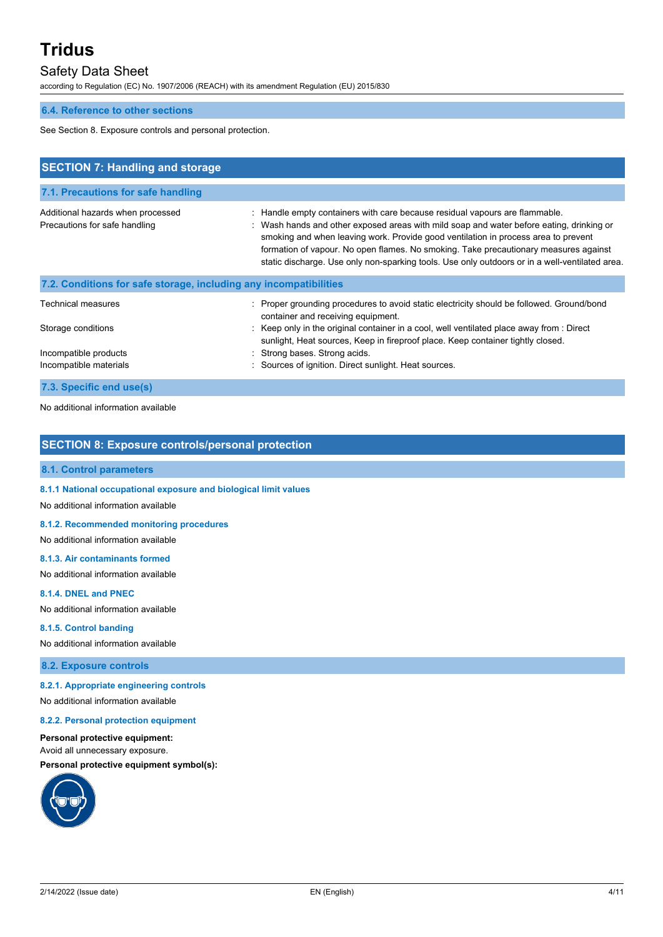## Safety Data Sheet

according to Regulation (EC) No. 1907/2006 (REACH) with its amendment Regulation (EU) 2015/830

#### **6.4. Reference to other sections**

See Section 8. Exposure controls and personal protection.

| <b>SECTION 7: Handling and storage</b>                             |                                                                                                                                                                                                                                                                                                                                                                                                                                                         |
|--------------------------------------------------------------------|---------------------------------------------------------------------------------------------------------------------------------------------------------------------------------------------------------------------------------------------------------------------------------------------------------------------------------------------------------------------------------------------------------------------------------------------------------|
| 7.1. Precautions for safe handling                                 |                                                                                                                                                                                                                                                                                                                                                                                                                                                         |
| Additional hazards when processed<br>Precautions for safe handling | : Handle empty containers with care because residual vapours are flammable.<br>: Wash hands and other exposed areas with mild soap and water before eating, drinking or<br>smoking and when leaving work. Provide good ventilation in process area to prevent<br>formation of vapour. No open flames. No smoking. Take precautionary measures against<br>static discharge. Use only non-sparking tools. Use only outdoors or in a well-ventilated area. |
| 7.2. Conditions for safe storage, including any incompatibilities  |                                                                                                                                                                                                                                                                                                                                                                                                                                                         |
| Technical measures                                                 | : Proper grounding procedures to avoid static electricity should be followed. Ground/bond<br>container and receiving equipment.                                                                                                                                                                                                                                                                                                                         |
| Storage conditions                                                 | : Keep only in the original container in a cool, well ventilated place away from : Direct<br>sunlight, Heat sources, Keep in fireproof place. Keep container tightly closed.                                                                                                                                                                                                                                                                            |
| Incompatible products<br>Incompatible materials                    | : Strong bases. Strong acids.<br>Sources of ignition. Direct sunlight. Heat sources.                                                                                                                                                                                                                                                                                                                                                                    |
| 7.3. Specific end use(s)                                           |                                                                                                                                                                                                                                                                                                                                                                                                                                                         |

No additional information available

### **SECTION 8: Exposure controls/personal protection**

#### **8.1. Control parameters**

#### **8.1.1 National occupational exposure and biological limit values**

No additional information available

#### **8.1.2. Recommended monitoring procedures**

No additional information available

#### **8.1.3. Air contaminants formed**

No additional information available

#### **8.1.4. DNEL and PNEC**

No additional information available

#### **8.1.5. Control banding**

No additional information available

#### **8.2. Exposure controls**

#### **8.2.1. Appropriate engineering controls**

No additional information available

#### **8.2.2. Personal protection equipment**

**Personal protective equipment:** Avoid all unnecessary exposure.

**Personal protective equipment symbol(s):**

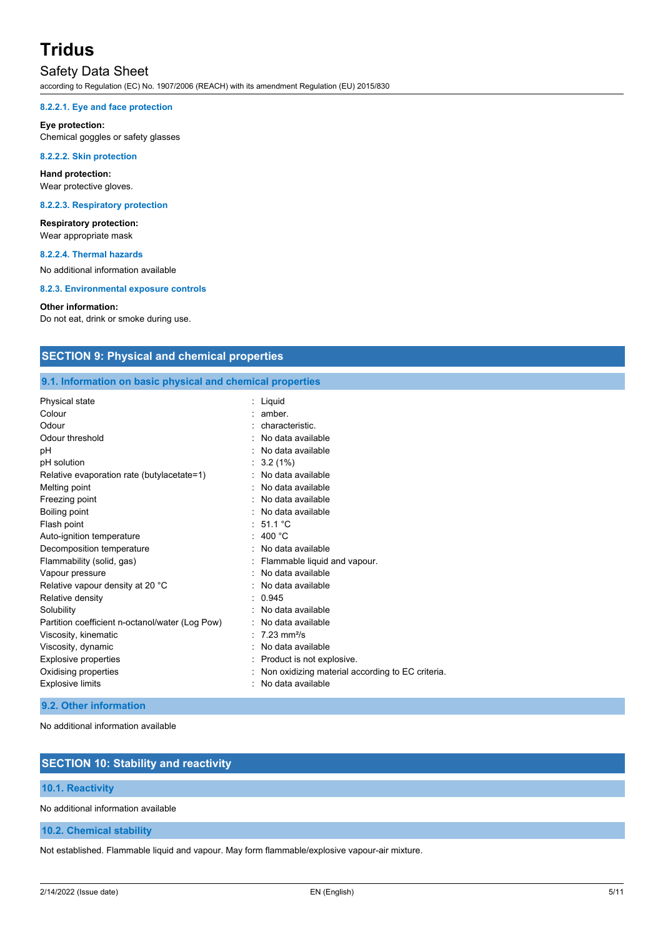## Safety Data Sheet

according to Regulation (EC) No. 1907/2006 (REACH) with its amendment Regulation (EU) 2015/830

#### **8.2.2.1. Eye and face protection**

#### **Eye protection:**

Chemical goggles or safety glasses

#### **8.2.2.2. Skin protection**

**Hand protection:** Wear protective gloves.

#### **8.2.2.3. Respiratory protection**

**Respiratory protection:** Wear appropriate mask

#### **8.2.2.4. Thermal hazards**

No additional information available

**8.2.3. Environmental exposure controls**

#### **Other information:**

Do not eat, drink or smoke during use.

### **SECTION 9: Physical and chemical properties**

**9.1. Information on basic physical and chemical properties**

| <b>Physical state</b>                           | Liquid                                           |
|-------------------------------------------------|--------------------------------------------------|
| Colour                                          | amber.                                           |
| Odour                                           | characteristic.                                  |
| Odour threshold                                 | No data available                                |
| pH                                              | No data available                                |
| pH solution                                     | 3.2(1%)                                          |
| Relative evaporation rate (butylacetate=1)      | No data available                                |
| Melting point                                   | No data available                                |
| Freezing point                                  | No data available                                |
| Boiling point                                   | No data available                                |
| Flash point                                     | : $51.1^{\circ}$ C                               |
| Auto-ignition temperature                       | 400 $^{\circ}$ C                                 |
| Decomposition temperature                       | No data available                                |
| Flammability (solid, gas)                       | Flammable liquid and vapour.                     |
| Vapour pressure                                 | No data available                                |
| Relative vapour density at 20 °C                | No data available                                |
| Relative density                                | 0.945                                            |
| Solubility                                      | No data available                                |
| Partition coefficient n-octanol/water (Log Pow) | No data available                                |
| Viscosity, kinematic                            | $7.23 \text{ mm}^2\text{/s}$                     |
| Viscosity, dynamic                              | No data available                                |
| <b>Explosive properties</b>                     | Product is not explosive.                        |
| Oxidising properties                            | Non oxidizing material according to EC criteria. |
| <b>Explosive limits</b>                         | No data available                                |

#### **9.2. Other information**

No additional information available

### **SECTION 10: Stability and reactivity**

#### **10.1. Reactivity**

No additional information available

**10.2. Chemical stability**

Not established. Flammable liquid and vapour. May form flammable/explosive vapour-air mixture.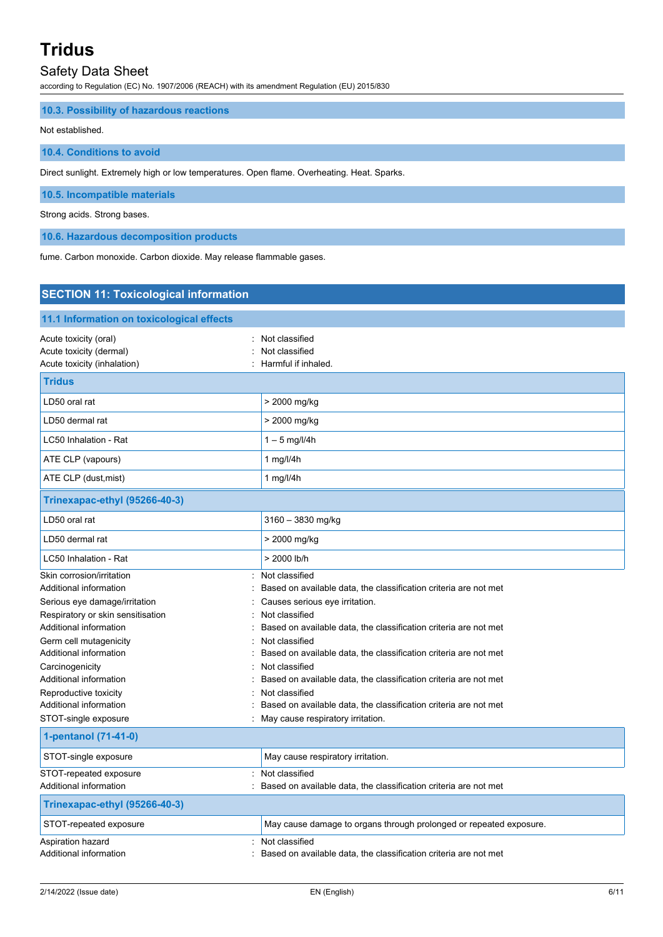### Safety Data Sheet

according to Regulation (EC) No. 1907/2006 (REACH) with its amendment Regulation (EU) 2015/830

#### **10.3. Possibility of hazardous reactions**

#### Not established.

#### **10.4. Conditions to avoid**

Direct sunlight. Extremely high or low temperatures. Open flame. Overheating. Heat. Sparks.

#### **10.5. Incompatible materials**

#### Strong acids. Strong bases.

**10.6. Hazardous decomposition products**

fume. Carbon monoxide. Carbon dioxide. May release flammable gases.

## **SECTION 11: Toxicological information 11.1 Information on toxicological effects** Acute toxicity (oral) **Example 20** Acute toxicity (oral) Acute toxicity (dermal) **Example 20** Acute toxicity (dermal) Acute toxicity (inhalation)  $\qquad \qquad$ : Harmful if inhaled. **Tridus** LD50 oral rat  $\vert$  > 2000 mg/kg LD50 dermal rat  $\vert$  > 2000 mg/kg LC50 Inhalation - Rat  $\vert$  1 – 5 mg/l/4h ATE CLP (vapours) 2 1 mg/l/4h ATE CLP (dust, mist) 1 mg/l/4h **Trinexapac-ethyl (95266-40-3)** LD50 oral rat 3160 – 3830 mg/kg LD50 dermal rat  $\vert$  > 2000 mg/kg LC50 Inhalation - Rat  $\vert$  > 2000 lb/h Skin corrosion/irritation in the set of the set of the Skin corrosion/irritation Additional information **interest on a set on available data**, the classification criteria are not met Serious eye damage/irritation  $\qquad \qquad : \qquad \text{Causes serious eye irrational}$ Respiratory or skin sensitisation : Not classified Additional information **interest on a set on available data**, the classification criteria are not met Germ cell mutagenicity **Second Contract Contract Contract Contract Contract Contract Contract Contract Contract Contract Contract Contract Contract Contract Contract Contract Contract Contract Contract Contract Contract Co** Additional information example of the state of the same of metal on available data, the classification criteria are not met Carcinogenicity **Carcinogenicity Carcinogenicity Carcinogenicity Carcinogenicity Carcinogenicity Carcinogenicity Carcinogenicity Carcinogenicity Carcinogenicity Carcinogenicity Carcinogenicity Carcino** Additional information : Based on available data, the classification criteria are not met Reproductive toxicity in the set of the set of the Reproductive toxicity in the set of the set of the set of the set of the set of the set of the set of the set of the set of the set of the set of the set of the set of the Additional information : Based on available data, the classification criteria are not met STOT-single exposure **in the state of the state of the STOT-single exposure**  $\cdot$  May cause respiratory irritation. **1-pentanol (71-41-0)** STOT-single exposure May cause respiratory irritation. STOT-repeated exposure : Not classified Additional information : Based on available data, the classification criteria are not met **Trinexapac-ethyl (95266-40-3)** STOT-repeated exposure May cause damage to organs through prolonged or repeated exposure. Aspiration hazard : Not classified Additional information **interest on a set on available data**, the classification criteria are not met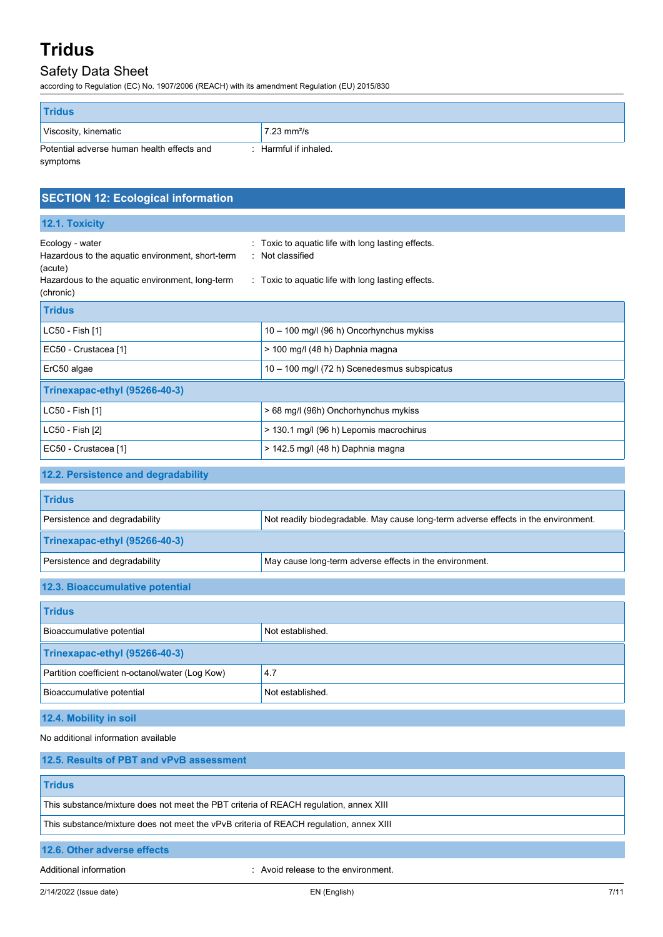## Safety Data Sheet

according to Regulation (EC) No. 1907/2006 (REACH) with its amendment Regulation (EU) 2015/830

| <b>Tridus</b>                                                     |                              |
|-------------------------------------------------------------------|------------------------------|
| Viscosity, kinematic                                              | $7.23 \text{ mm}^2/\text{s}$ |
| Potential adverse human health effects and<br>Harmful if inhaled. |                              |
| symptoms                                                          |                              |

| <b>SECTION 12: Ecological information</b>                                                                                                      |                                                                                                                          |  |  |
|------------------------------------------------------------------------------------------------------------------------------------------------|--------------------------------------------------------------------------------------------------------------------------|--|--|
| 12.1. Toxicity                                                                                                                                 |                                                                                                                          |  |  |
| Ecology - water<br>Hazardous to the aquatic environment, short-term<br>(acute)<br>Hazardous to the aquatic environment, long-term<br>(chronic) | Toxic to aquatic life with long lasting effects.<br>Not classified<br>: Toxic to aquatic life with long lasting effects. |  |  |
| <b>Tridus</b>                                                                                                                                  |                                                                                                                          |  |  |
| LC50 - Fish [1]                                                                                                                                | 10 - 100 mg/l (96 h) Oncorhynchus mykiss                                                                                 |  |  |
| EC50 - Crustacea [1]                                                                                                                           | > 100 mg/l (48 h) Daphnia magna                                                                                          |  |  |
| ErC50 algae                                                                                                                                    | 10 - 100 mg/l (72 h) Scenedesmus subspicatus                                                                             |  |  |
| Trinexapac-ethyl (95266-40-3)                                                                                                                  |                                                                                                                          |  |  |
| LC50 - Fish [1]                                                                                                                                | > 68 mg/l (96h) Onchorhynchus mykiss                                                                                     |  |  |
| LC50 - Fish [2]                                                                                                                                | > 130.1 mg/l (96 h) Lepomis macrochirus                                                                                  |  |  |
| EC50 - Crustacea [1]                                                                                                                           | > 142.5 mg/l (48 h) Daphnia magna                                                                                        |  |  |
| 12.2. Persistence and degradability                                                                                                            |                                                                                                                          |  |  |
| <b>Tridus</b>                                                                                                                                  |                                                                                                                          |  |  |
| Persistence and degradability                                                                                                                  | Not readily biodegradable. May cause long-term adverse effects in the environment.                                       |  |  |
| Trinexapac-ethyl (95266-40-3)                                                                                                                  |                                                                                                                          |  |  |
| Persistence and degradability                                                                                                                  | May cause long-term adverse effects in the environment.                                                                  |  |  |
| 12.3. Bioaccumulative potential                                                                                                                |                                                                                                                          |  |  |

| <b>Tridus</b>                                   |                  |  |
|-------------------------------------------------|------------------|--|
| Bioaccumulative potential                       | Not established. |  |
| Trinexapac-ethyl (95266-40-3)                   |                  |  |
| Partition coefficient n-octanol/water (Log Kow) | 4.7              |  |
| Bioaccumulative potential                       | Not established. |  |

### **12.4. Mobility in soil**

No additional information available

| 12.5. Results of PBT and vPvB assessment                                               |
|----------------------------------------------------------------------------------------|
| <b>Tridus</b>                                                                          |
| This substance/mixture does not meet the PBT criteria of REACH regulation, annex XIII  |
| This substance/mixture does not meet the vPvB criteria of REACH regulation, annex XIII |
| 12.6. Other adverse effects                                                            |

Additional information **interval information** : Avoid release to the environment.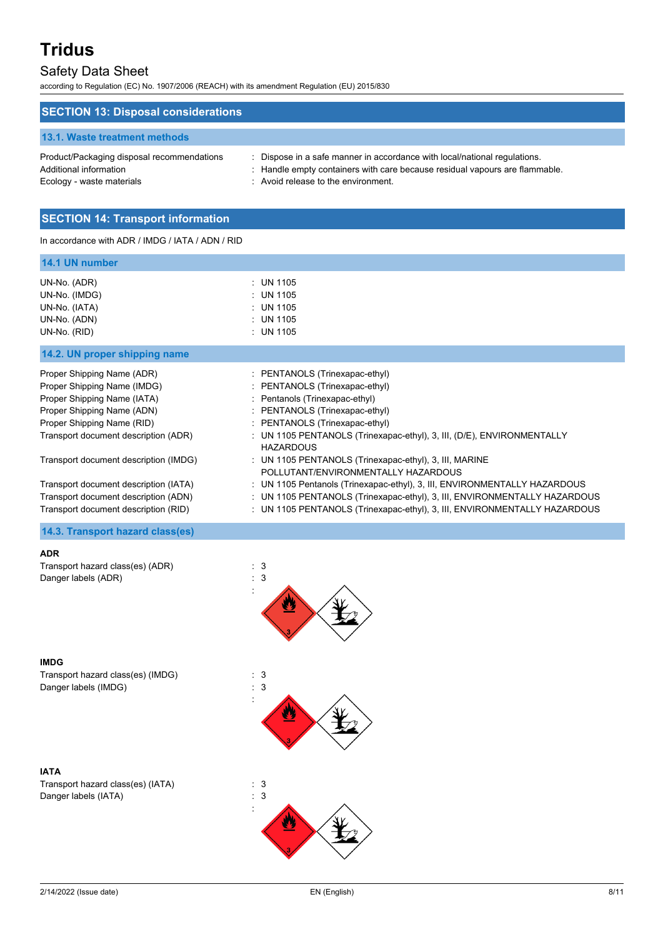## Safety Data Sheet

according to Regulation (EC) No. 1907/2006 (REACH) with its amendment Regulation (EU) 2015/830

| <b>SECTION 13: Disposal considerations</b>                                                        |                                                                                                                                                                                               |
|---------------------------------------------------------------------------------------------------|-----------------------------------------------------------------------------------------------------------------------------------------------------------------------------------------------|
| 13.1. Waste treatment methods                                                                     |                                                                                                                                                                                               |
| Product/Packaging disposal recommendations<br>Additional information<br>Ecology - waste materials | Dispose in a safe manner in accordance with local/national regulations.<br>: Handle empty containers with care because residual vapours are flammable.<br>: Avoid release to the environment. |

### **SECTION 14: Transport information**

In accordance with ADR / IMDG / IATA / ADN / RID

| 14.1 UN number                                                                                                                                                                               |                                                                                                                                                                                                                                                                      |
|----------------------------------------------------------------------------------------------------------------------------------------------------------------------------------------------|----------------------------------------------------------------------------------------------------------------------------------------------------------------------------------------------------------------------------------------------------------------------|
| UN-No. (ADR)<br>UN-No. (IMDG)<br>UN-No. (IATA)<br>UN-No. (ADN)<br>UN-No. (RID)                                                                                                               | $:$ UN 1105<br>: UN 1105<br>$:$ UN 1105<br>$:$ UN 1105<br>$:$ UN 1105                                                                                                                                                                                                |
| 14.2. UN proper shipping name                                                                                                                                                                |                                                                                                                                                                                                                                                                      |
| Proper Shipping Name (ADR)<br>Proper Shipping Name (IMDG)<br>Proper Shipping Name (IATA)<br>Proper Shipping Name (ADN)<br>Proper Shipping Name (RID)<br>Transport document description (ADR) | : PENTANOLS (Trinexapac-ethyl)<br>: PENTANOLS (Trinexapac-ethyl)<br>: Pentanols (Trinexapac-ethyl)<br>: PENTANOLS (Trinexapac-ethyl)<br>: PENTANOLS (Trinexapac-ethyl)<br>: UN 1105 PENTANOLS (Trinexapac-ethyl), 3, III, (D/E), ENVIRONMENTALLY<br><b>HAZARDOUS</b> |
| Transport document description (IMDG)                                                                                                                                                        | : UN 1105 PENTANOLS (Trinexapac-ethyl), 3, III, MARINE<br>POLLUTANT/ENVIRONMENTALLY HAZARDOUS                                                                                                                                                                        |
| Transport document description (IATA)<br>Transport document description (ADN)                                                                                                                | : UN 1105 Pentanols (Trinexapac-ethyl), 3, III, ENVIRONMENTALLY HAZARDOUS<br>: UN 1105 PENTANOLS (Trinexapac-ethyl), 3, III, ENVIRONMENTALLY HAZARDOUS                                                                                                               |
| Transport document description (RID)                                                                                                                                                         | : UN 1105 PENTANOLS (Trinexapac-ethyl), 3, III, ENVIRONMENTALLY HAZARDOUS                                                                                                                                                                                            |

#### **14.3. Transport hazard class(es)**

#### **ADR**

Transport hazard class(es) (ADR) : 3 Danger labels (ADR)  $\qquad \qquad$  : 3



**IMDG** Transport hazard class(es) (IMDG) : 3<br>Danger labels (IMDG) : 3 Danger labels (IMDG)

**IATA** Transport hazard class(es) (IATA) : 3 Danger labels (IATA) : 3



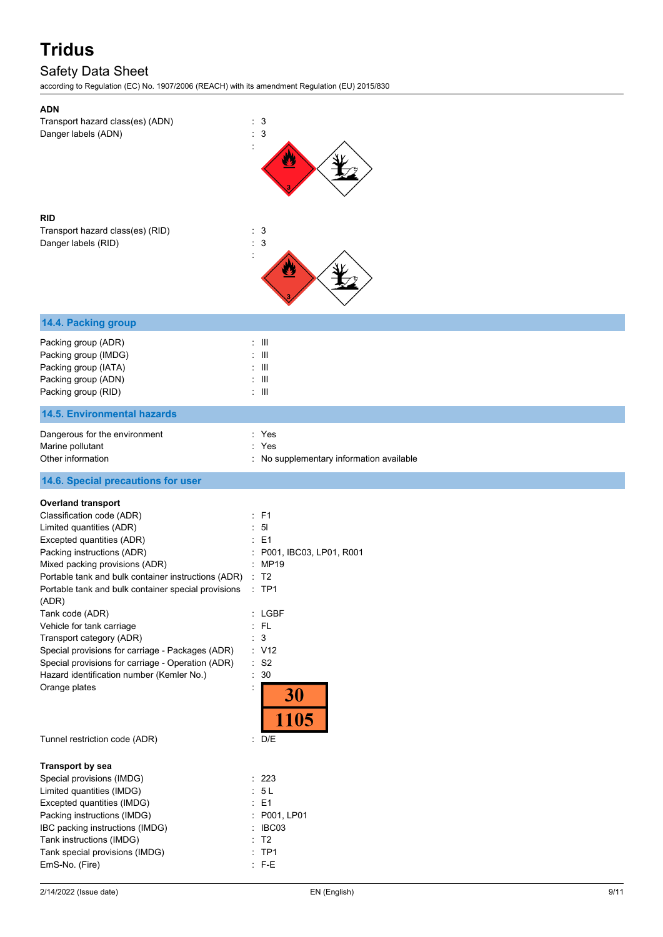## Safety Data Sheet

according to Regulation (EC) No. 1907/2006 (REACH) with its amendment Regulation (EU) 2015/830

| Transport hazard class(es) (ADN)<br>Danger labels (ADN)<br><b>RID</b><br>Transport hazard class(es) (RID)<br>Danger labels (RID)                                                                                                                                                                                                                                       | $\mathbf{3}$<br>3<br>: 3<br>$\therefore$ 3                                                             |
|------------------------------------------------------------------------------------------------------------------------------------------------------------------------------------------------------------------------------------------------------------------------------------------------------------------------------------------------------------------------|--------------------------------------------------------------------------------------------------------|
| 14.4. Packing group                                                                                                                                                                                                                                                                                                                                                    |                                                                                                        |
| Packing group (ADR)<br>Packing group (IMDG)<br>Packing group (IATA)<br>Packing group (ADN)<br>Packing group (RID)                                                                                                                                                                                                                                                      | $:$ $\mathsf{III}$<br>- III<br>$\overline{\phantom{1}}$<br>$\pm$ 111<br>$\pm$ 111                      |
| <b>14.5. Environmental hazards</b>                                                                                                                                                                                                                                                                                                                                     |                                                                                                        |
| Dangerous for the environment<br>Marine pollutant                                                                                                                                                                                                                                                                                                                      | : Yes<br>: Yes                                                                                         |
| Other information                                                                                                                                                                                                                                                                                                                                                      | : No supplementary information available                                                               |
| 14.6. Special precautions for user                                                                                                                                                                                                                                                                                                                                     |                                                                                                        |
| <b>Overland transport</b><br>Classification code (ADR)<br>Limited quantities (ADR)<br>Excepted quantities (ADR)<br>Packing instructions (ADR)<br>Mixed packing provisions (ADR)                                                                                                                                                                                        | : F1<br>5 <sub>l</sub><br>$\therefore$ E1<br>P001, IBC03, LP01, R001<br><b>MP19</b>                    |
| Portable tank and bulk container instructions (ADR)<br>Portable tank and bulk container special provisions<br>(ADR)<br>Tank code (ADR)<br>Vehicle for tank carriage<br>Transport category (ADR)<br>Special provisions for carriage - Packages (ADR)<br>Special provisions for carriage - Operation (ADR)<br>Hazard identification number (Kemler No.)<br>Orange plates | : T2<br>$\therefore$ TP1<br>: LGBF<br>$:$ FL<br>$\mathbf{3}$<br>÷<br>: V12<br>: S2<br>30<br>30<br>1105 |
| Tunnel restriction code (ADR)                                                                                                                                                                                                                                                                                                                                          | : D/E                                                                                                  |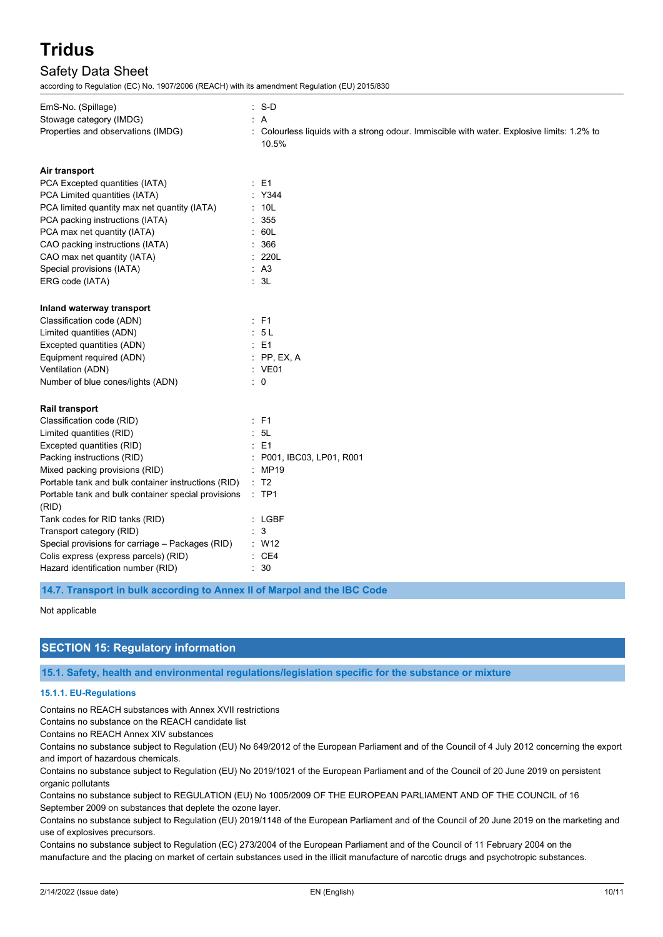## Safety Data Sheet

according to Regulation (EC) No. 1907/2006 (REACH) with its amendment Regulation (EU) 2015/830

| EmS-No. (Spillage)                                  | $: S-D$                                                                                           |
|-----------------------------------------------------|---------------------------------------------------------------------------------------------------|
| Stowage category (IMDG)                             | : A                                                                                               |
| Properties and observations (IMDG)                  | Colourless liquids with a strong odour. Immiscible with water. Explosive limits: 1.2% to<br>10.5% |
| Air transport                                       |                                                                                                   |
| PCA Excepted quantities (IATA)                      | $E = 1$                                                                                           |
| PCA Limited quantities (IATA)                       | : Y344                                                                                            |
| PCA limited quantity max net quantity (IATA)        | : 10L                                                                                             |
| PCA packing instructions (IATA)                     | 355                                                                                               |
| PCA max net quantity (IATA)                         | : 60L                                                                                             |
| CAO packing instructions (IATA)                     | 366                                                                                               |
| CAO max net quantity (IATA)                         | 220L                                                                                              |
| Special provisions (IATA)                           | A <sub>3</sub>                                                                                    |
| ERG code (IATA)                                     | : 3L                                                                                              |
| Inland waterway transport                           |                                                                                                   |
| Classification code (ADN)                           | : F1                                                                                              |
| Limited quantities (ADN)                            | 5L                                                                                                |
| Excepted quantities (ADN)                           | $\therefore$ E1                                                                                   |
| Equipment required (ADN)                            | PP, EX, A                                                                                         |
| Ventilation (ADN)                                   | : VE01                                                                                            |
| Number of blue cones/lights (ADN)                   | $\therefore$ 0                                                                                    |
| Rail transport                                      |                                                                                                   |
| Classification code (RID)                           | : F1                                                                                              |
| Limited quantities (RID)                            | 5L                                                                                                |
| Excepted quantities (RID)                           | E1                                                                                                |
| Packing instructions (RID)                          | P001, IBC03, LP01, R001                                                                           |
| Mixed packing provisions (RID)                      | <b>MP19</b>                                                                                       |
| Portable tank and bulk container instructions (RID) | T <sub>2</sub>                                                                                    |
| Portable tank and bulk container special provisions | $:$ TP1                                                                                           |
| (RID)                                               |                                                                                                   |
| Tank codes for RID tanks (RID)                      | $:$ LGBF                                                                                          |
| Transport category (RID)                            | 3                                                                                                 |
| Special provisions for carriage - Packages (RID)    | : W12                                                                                             |
| Colis express (express parcels) (RID)               | : CE4                                                                                             |
| Hazard identification number (RID)                  | 30                                                                                                |

**14.7. Transport in bulk according to Annex II of Marpol and the IBC Code**

Not applicable

### **SECTION 15: Regulatory information**

**15.1. Safety, health and environmental regulations/legislation specific for the substance or mixture**

#### **15.1.1. EU-Regulations**

Contains no REACH substances with Annex XVII restrictions

Contains no substance on the REACH candidate list

Contains no REACH Annex XIV substances

Contains no substance subject to Regulation (EU) No 649/2012 of the European Parliament and of the Council of 4 July 2012 concerning the export and import of hazardous chemicals.

Contains no substance subject to Regulation (EU) No 2019/1021 of the European Parliament and of the Council of 20 June 2019 on persistent organic pollutants

Contains no substance subject to REGULATION (EU) No 1005/2009 OF THE EUROPEAN PARLIAMENT AND OF THE COUNCIL of 16 September 2009 on substances that deplete the ozone layer.

Contains no substance subject to Regulation (EU) 2019/1148 of the European Parliament and of the Council of 20 June 2019 on the marketing and use of explosives precursors.

Contains no substance subject to Regulation (EC) 273/2004 of the European Parliament and of the Council of 11 February 2004 on the manufacture and the placing on market of certain substances used in the illicit manufacture of narcotic drugs and psychotropic substances.